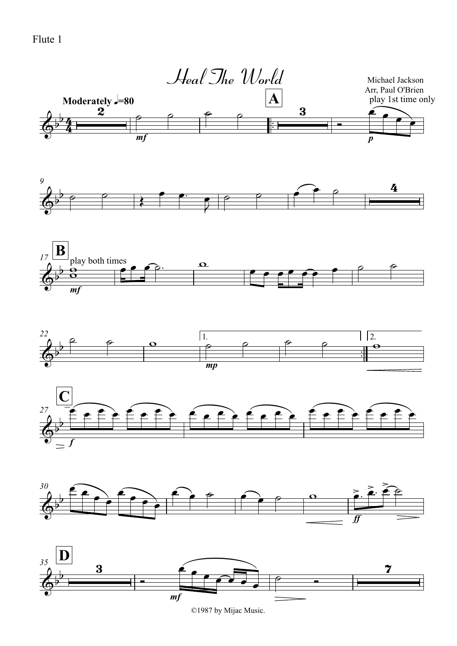Flute 1



©1987 by Mijac Music.